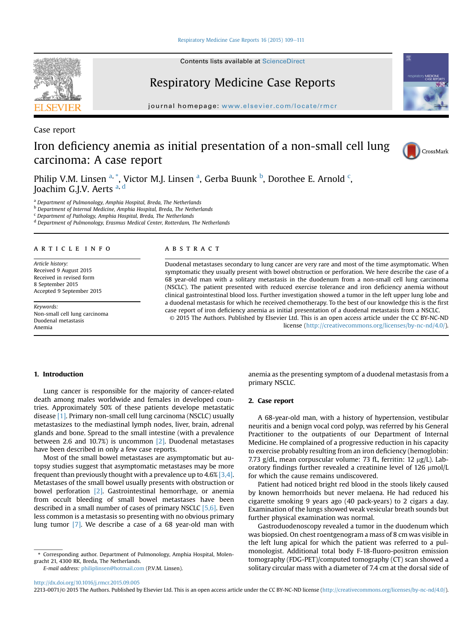[Respiratory Medicine Case Reports 16 \(2015\) 109](http://dx.doi.org/10.1016/j.rmcr.2015.09.005)-[111](http://dx.doi.org/10.1016/j.rmcr.2015.09.005)

Contents lists available at ScienceDirect

# Respiratory Medicine Case Reports

journal homepage: [www.elsevier.com/locate/rmcr](http://www.elsevier.com/locate/rmcr)

Case report

# Iron deficiency anemia as initial presentation of a non-small cell lung carcinoma: A case report



Philip V.M. Linsen <sup>a, \*</sup>, Victor M.J. Linsen <sup>a</sup>, Gerba Buunk <sup>b</sup>, Dorothee E. Arnold <sup>c</sup>, Joachim G.J.V. Aerts a, <sup>d</sup>

<sup>a</sup> Department of Pulmonology, Amphia Hospital, Breda, The Netherlands

**b** Department of Internal Medicine, Amphia Hospital, Breda, The Netherlands

 $c$  Department of Pathology, Amphia Hospital, Breda, The Netherlands

<sup>d</sup> Department of Pulmonology, Erasmus Medical Center, Rotterdam, The Netherlands

### article info

Article history: Received 9 August 2015 Received in revised form 8 September 2015 Accepted 9 September 2015

Keywords: Non-small cell lung carcinoma Duodenal metastasis Anemia

#### **ABSTRACT**

Duodenal metastases secondary to lung cancer are very rare and most of the time asymptomatic. When symptomatic they usually present with bowel obstruction or perforation. We here describe the case of a 68 year-old man with a solitary metastasis in the duodenum from a non-small cell lung carcinoma (NSCLC). The patient presented with reduced exercise tolerance and iron deficiency anemia without clinical gastrointestinal blood loss. Further investigation showed a tumor in the left upper lung lobe and a duodenal metastasis for which he received chemotherapy. To the best of our knowledge this is the first case report of iron deficiency anemia as initial presentation of a duodenal metastasis from a NSCLC. © 2015 The Authors. Published by Elsevier Ltd. This is an open access article under the CC BY-NC-ND

license [\(http://creativecommons.org/licenses/by-nc-nd/4.0/](http://creativecommons.org/licenses/by-nc-nd/4.�0/)).

# 1. Introduction

Lung cancer is responsible for the majority of cancer-related death among males worldwide and females in developed countries. Approximately 50% of these patients develope metastatic disease [\[1\].](#page-2-0) Primary non-small cell lung carcinoma (NSCLC) usually metastasizes to the mediastinal lymph nodes, liver, brain, adrenal glands and bone. Spread to the small intestine (with a prevalence between 2.6 and 10.7%) is uncommon [\[2\]](#page-2-0). Duodenal metastases have been described in only a few case reports.

Most of the small bowel metastases are asymptomatic but autopsy studies suggest that asymptomatic metastases may be more frequent than previously thought with a prevalence up to  $4.6\%$  [\[3,4\].](#page-2-0) Metastases of the small bowel usually presents with obstruction or bowel perforation [\[2\]](#page-2-0). Gastrointestinal hemorrhage, or anemia from occult bleeding of small bowel metastases have been described in a small number of cases of primary NSCLC [\[5,6\].](#page-2-0) Even less common is a metastasis so presenting with no obvious primary lung tumor [\[7\]](#page-2-0). We describe a case of a 68 year-old man with

E-mail address: [philiplinsen@hotmail.com](mailto:philiplinsen@hotmail.com) (P.V.M. Linsen).

anemia as the presenting symptom of a duodenal metastasis from a primary NSCLC.

### 2. Case report

A 68-year-old man, with a history of hypertension, vestibular neuritis and a benign vocal cord polyp, was referred by his General Practitioner to the outpatients of our Department of Internal Medicine. He complained of a progressive reduction in his capacity to exercise probably resulting from an iron deficiency (hemoglobin: 7.73 g/dL, mean corpuscular volume: 73 fL, ferritin: 12  $\mu$ g/L). Laboratory findings further revealed a creatinine level of  $126 \mu$ mol/L for which the cause remains undiscovered.

Patient had noticed bright red blood in the stools likely caused by known hemorrhoids but never melaena. He had reduced his cigarette smoking 9 years ago (40 pack-years) to 2 cigars a day. Examination of the lungs showed weak vesicular breath sounds but further physical examination was normal.

Gastroduodenoscopy revealed a tumor in the duodenum which was biopsied. On chest roentgenogram a mass of 8 cm was visible in the left lung apical for which the patient was referred to a pulmonologist. Additional total body F-18-fluoro-positron emission tomography (FDG-PET)/computed tomography (CT) scan showed a solitary circular mass with a diameter of 7.4 cm at the dorsal side of

<http://dx.doi.org/10.1016/j.rmcr.2015.09.005>

2213-0071/© 2015 The Authors. Published by Elsevier Ltd. This is an open access article under the CC BY-NC-ND license ([http://creativecommons.org/licenses/by-nc-nd/4.0/\)](http://creativecommons.org/licenses/by-nc-nd/4.�0/).



<sup>\*</sup> Corresponding author. Department of Pulmonology, Amphia Hospital, Molengracht 21, 4300 RK, Breda, The Netherlands.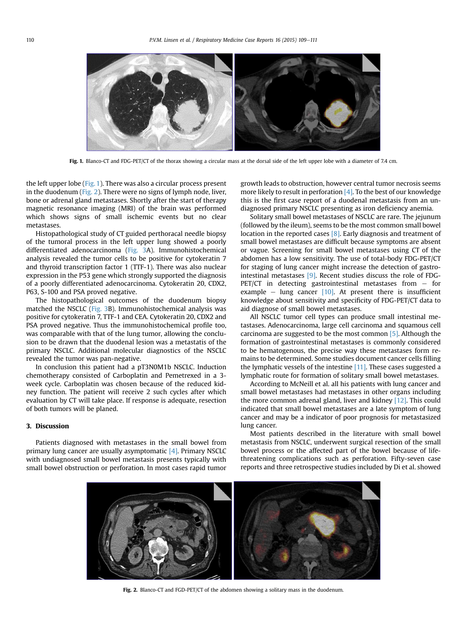

Fig. 1. Blanco-CT and FDG-PET/CT of the thorax showing a circular mass at the dorsal side of the left upper lobe with a diameter of 7.4 cm.

the left upper lobe (Fig. 1). There was also a circular process present in the duodenum (Fig. 2). There were no signs of lymph node, liver, bone or adrenal gland metastases. Shortly after the start of therapy magnetic resonance imaging (MRI) of the brain was performed which shows signs of small ischemic events but no clear metastases.

Histopathological study of CT guided perthoracal needle biopsy of the tumoral process in the left upper lung showed a poorly differentiated adenocarcinoma [\(Fig. 3A](#page-2-0)). Immunohistochemical analysis revealed the tumor cells to be positive for cytokeratin 7 and thyroid transcription factor 1 (TTF-1). There was also nuclear expression in the P53 gene which strongly supported the diagnosis of a poorly differentiated adenocarcinoma. Cytokeratin 20, CDX2, P63, S-100 and PSA proved negative.

The histopathological outcomes of the duodenum biopsy matched the NSCLC ([Fig. 3](#page-2-0)B). Immunohistochemical analysis was positive for cytokeratin 7, TTF-1 and CEA. Cytokeratin 20, CDX2 and PSA proved negative. Thus the immunohistochemical profile too, was comparable with that of the lung tumor, allowing the conclusion to be drawn that the duodenal lesion was a metastatis of the primary NSCLC. Additional molecular diagnostics of the NSCLC revealed the tumor was pan-negative.

In conclusion this patient had a pT3N0M1b NSCLC. Induction chemotherapy consisted of Carboplatin and Pemetrexed in a 3 week cycle. Carboplatin was chosen because of the reduced kidney function. The patient will receive 2 such cycles after which evaluation by CT will take place. If response is adequate, resection of both tumors will be planed.

# 3. Discussion

Patients diagnosed with metastases in the small bowel from primary lung cancer are usually asymptomatic [\[4\].](#page-2-0) Primary NSCLC with undiagnosed small bowel metastasis presents typically with small bowel obstruction or perforation. In most cases rapid tumor growth leads to obstruction, however central tumor necrosis seems more likely to result in perforation  $[4]$ . To the best of our knowledge this is the first case report of a duodenal metastasis from an undiagnosed primary NSCLC presenting as iron deficiency anemia.

Solitary small bowel metastases of NSCLC are rare. The jejunum (followed by the ileum), seems to be the most common small bowel location in the reported cases [\[8\]](#page-2-0). Early diagnosis and treatment of small bowel metastases are difficult because symptoms are absent or vague. Screening for small bowel metastases using CT of the abdomen has a low sensitivity. The use of total-body FDG-PET/CT for staging of lung cancer might increase the detection of gastrointestinal metastases [\[9\].](#page-2-0) Recent studies discuss the role of FDG-PET/CT in detecting gastrointestinal metastases from  $-$  for example  $-$  lung cancer  $[10]$ . At present there is insufficient knowledge about sensitivity and specificity of FDG-PET/CT data to aid diagnose of small bowel metastases.

All NSCLC tumor cell types can produce small intestinal metastases. Adenocarcinoma, large cell carcinoma and squamous cell carcinoma are suggested to be the most common [\[5\]](#page-2-0). Although the formation of gastrointestinal metastases is commonly considered to be hematogenous, the precise way these metastases form remains to be determined. Some studies document cancer cells filling the lymphatic vessels of the intestine  $[11]$ . These cases suggested a lymphatic route for formation of solitary small bowel metastases.

According to McNeill et al. all his patients with lung cancer and small bowel metastases had metastases in other organs including the more common adrenal gland, liver and kidney [\[12\].](#page-2-0) This could indicated that small bowel metastases are a late symptom of lung cancer and may be a indicator of poor prognosis for metastasized lung cancer.

Most patients described in the literature with small bowel metastasis from NSCLC, underwent surgical resection of the small bowel process or the affected part of the bowel because of lifethreatening complications such as perforation. Fifty-seven case reports and three retrospective studies included by Di et al. showed



Fig. 2. Blanco-CT and FGD-PET/CT of the abdomen showing a solitary mass in the duodenum.